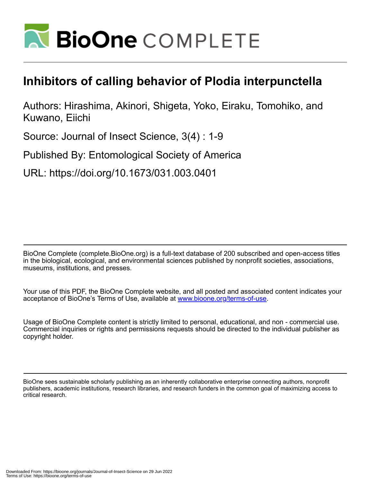

# **Inhibitors of calling behavior of Plodia interpunctella**

Authors: Hirashima, Akinori, Shigeta, Yoko, Eiraku, Tomohiko, and Kuwano, Eiichi

Source: Journal of Insect Science, 3(4) : 1-9

Published By: Entomological Society of America

URL: https://doi.org/10.1673/031.003.0401

BioOne Complete (complete.BioOne.org) is a full-text database of 200 subscribed and open-access titles in the biological, ecological, and environmental sciences published by nonprofit societies, associations, museums, institutions, and presses.

Your use of this PDF, the BioOne Complete website, and all posted and associated content indicates your acceptance of BioOne's Terms of Use, available at www.bioone.org/terms-of-use.

Usage of BioOne Complete content is strictly limited to personal, educational, and non - commercial use. Commercial inquiries or rights and permissions requests should be directed to the individual publisher as copyright holder.

BioOne sees sustainable scholarly publishing as an inherently collaborative enterprise connecting authors, nonprofit publishers, academic institutions, research libraries, and research funders in the common goal of maximizing access to critical research.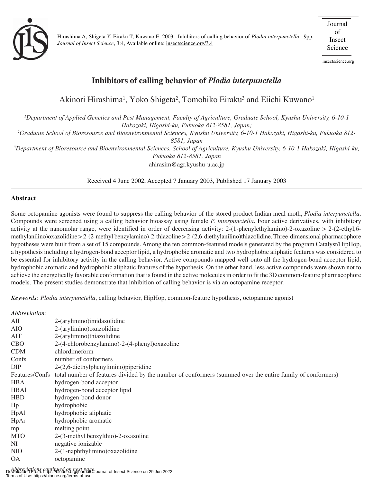

Hirashima A, Shigeta Y, Eiraku T, Kuwano E. 2003. Inhibitors of calling behavior of *Plodia interpunctella*. 9pp. *Journal of Insect Science*, 3:4, Available online: insectscience.org/3.4

Journal of Insect Science

insectscience.org

# **Inhibitors of calling behavior of** *Plodia interpunctella*

Akinori Hirashima<sup>1</sup>, Yoko Shigeta<sup>2</sup>, Tomohiko Eiraku<sup>3</sup> and Eiichi Kuwano<sup>1</sup>

*1 Department of Applied Genetics and Pest Management, Faculty of Agriculture, Graduate School, Kyushu University, 6-10-1 Hakozaki, Higashi-ku, Fukuoka 812-8581, Japan;*

*2 Graduate School of Bioresource and Bioenvironmental Sciences, Kyushu University, 6-10-1 Hakozaki, Higashi-ku, Fukuoka 812- 8581, Japan*

*3 Department of Bioresource and Bioenvironmental Sciences, School of Agriculture, Kyushu University, 6-10-1 Hakozaki, Higashi-ku, Fukuoka 812-8581, Japan*

ahirasim@agr.kyushu-u.ac.jp

Received 4 June 2002, Accepted 7 January 2003, Published 17 January 2003

## **Abstract**

Some octopamine agonists were found to suppress the calling behavior of the stored product Indian meal moth, *Plodia interpunctella*. Compounds were screened using a calling behavior bioassay using female *P. interpunctella*. Four active derivatives, with inhibitory activity at the nanomolar range, were identified in order of decreasing activity: 2-(1-phenylethylamino)-2-oxazoline > 2-(2-ethyl,6 methylanilino)oxazolidine > 2-(2-methyl benzylamino)-2-thiazoline > 2-(2,6-diethylanilino)thiazolidine. Three-dimensional pharmacophore hypotheses were built from a set of 15 compounds. Among the ten common-featured models generated by the program Catalyst/HipHop, a hypothesis including a hydrogen-bond acceptor lipid, a hydrophobic aromatic and two hydrophobic aliphatic features was considered to be essential for inhibitory activity in the calling behavior. Active compounds mapped well onto all the hydrogen-bond acceptor lipid, hydrophobic aromatic and hydrophobic aliphatic features of the hypothesis. On the other hand, less active compounds were shown not to achieve the energetically favorable conformation that is found in the active molecules in order to fit the 3D common-feature pharmacophore models. The present studies demonstrate that inhibition of calling behavior is via an octopamine receptor.

*Keywords: Plodia interpunctella*, calling behavior, HipHop, common-feature hypothesis, octopamine agonist

| Abbreviation: |                                                                                                                           |
|---------------|---------------------------------------------------------------------------------------------------------------------------|
| AII           | 2-(arylimino)imidazolidine                                                                                                |
| <b>AIO</b>    | 2-(arylimino) oxazolidine                                                                                                 |
| AIT           | 2-(arylimino)thiazolidine                                                                                                 |
| <b>CBO</b>    | 2-(4-chlorobenzylamino)-2-(4-phenyl)oxazoline                                                                             |
| <b>CDM</b>    | chlordimeform                                                                                                             |
| Confs         | number of conformers                                                                                                      |
| <b>DIP</b>    | $2-(2,6$ -diethylphenylimino) piperidine                                                                                  |
|               | Features/Confs total number of features divided by the number of conformers (summed over the entire family of conformers) |
| <b>HBA</b>    | hydrogen-bond acceptor                                                                                                    |
| <b>HBAl</b>   | hydrogen-bond acceptor lipid                                                                                              |
| <b>HBD</b>    | hydrogen-bond donor                                                                                                       |
| Hp            | hydrophobic                                                                                                               |
| <b>HpAl</b>   | hydrophobic aliphatic                                                                                                     |
| HpAr          | hydrophobic aromatic                                                                                                      |
| mp            | melting point                                                                                                             |
| <b>MTO</b>    | 2-(3-methyl benzylthio)-2-oxazoline                                                                                       |
| NI            | negative ionizable                                                                                                        |
| <b>NIO</b>    | 2-(1-naphthylimino) oxazolidine                                                                                           |
| <b>OA</b>     | octopamine                                                                                                                |
|               |                                                                                                                           |

*Abbreviations continued on next page* Downloaded From: https://bioone.org/journals/Journal-of-Insect-Science on 29 Jun 2022 Terms of Use: https://bioone.org/terms-of-use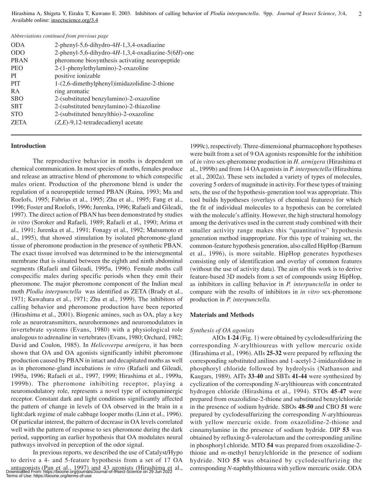Hirashima A, Shigeta Y, Eiraku T, Kuwano E. 2003. Inhibitors of calling behavior of *Plodia interpunctella*. 9pp. *Journal of Insect Science*, 3:4, 2 Available online: insectscience.org/3.4

| <b>ODA</b>  | 2-phenyl-5,6-dihydro-4H-1,3,4-oxadiazine               |
|-------------|--------------------------------------------------------|
| <b>ODO</b>  | 2-phenyl-5,6-dihydro-4H-1,3,4-oxadiazine-5( $6H$ )-one |
| <b>PBAN</b> | pheromone biosynthesis activating neuropeptide         |
| <b>PEO</b>  | 2-(1-phenylethylamino)-2-oxazoline                     |
| PI          | positive ionizable                                     |
| <b>PIT</b>  | 1-(2,6-dimethylphenyl)imidazolidine-2-thione           |
| <b>RA</b>   | ring aromatic                                          |
| <b>SBO</b>  | 2-(substituted benzylamino)-2-oxazoline                |
| <b>SBT</b>  | 2-(substituted benzylamino)-2-thiazoline               |
| <b>STO</b>  | 2-(substituted benzylthio)-2-oxazoline                 |
| <b>ZETA</b> | $(Z,E)$ -9,12-tetradecadienyl acetate                  |
|             |                                                        |

#### *Abbreviations continued from previous page*

#### **Introduction**

The reproductive behavior in moths is dependent on chemical communication. In most species of moths, females produce and release an attractive blend of pheromone to which conspecific males orient. Production of the pheromone blend is under the regulation of a neuropeptide termed PBAN (Raina, 1993; Ma and Roelofs, 1995; Fabrias et al., 1995; Zhu et al., 1995; Fang et al., 1996; Foster and Roelofs, 1996; Jurenka, 1996; Rafaeli and Gileadi, 1997). The direct action of PBAN has been demonstrated by studies *in vitro* (Soroker and Rafaeli, 1989; Rafaeli et al., 1990; Arima et al., 1991; Jurenka et al., 1991; Fonagy et al., 1992; Matsumoto et al., 1995), that showed stimulation by isolated pheromone-gland tissue of pheromone production in the presence of synthetic PBAN. The exact tissue involved was determined to be the intersegmental membrane that is situated between the eighth and ninth abdominal segments (Rafaeli and Gileadi, 1995a, 1996). Female moths call conspecific males during specific periods when they emit their pheromone. The major pheromone component of the Indian meal moth *Plodia interpunctella* was identified as ZETA (Brady et al., 1971; Kuwahara et al., 1971; Zhu et al., 1999). The inhibitors of calling behavior and pheromone production have been reported (Hirashima et al., 2001). Biogenic amines, such as OA, play a key role as neurotransmitters, neurohormones and neuromodulators in invertebrate systems (Evans, 1980) with a physiological role analogous to adrenaline in vertebrates (Evans, 1980; Orchard, 1982; David and Coulon, 1985). In *Helicoverpa armigera*, it has been shown that OA and OA agonists significantly inhibit pheromone production caused by PBAN in intact and decapitated moths as well as in pheromone-gland incubations *in vitro* (Rafaeli and Gileadi, 1995a, 1996; Rafaeli et al., 1997, 1999; Hirashima et al., 1999a, 1999b). The pheromone inhibiting receptor, playing a neuromodulatory role, represents a novel type of octopaminergic receptor. Constant dark and light conditions significantly affected the pattern of change in levels of OA observed in the brain in a light:dark regime of male cabbage looper moths (Linn et al., 1996). Of particular interest, the pattern of decrease in OA levels correlated well with the pattern of response to sex pheromone during the dark period, supporting an earlier hypothesis that OA modulates neural pathways involved in perception of the odor signal.

In previous reports, we described the use of Catalyst/Hypo to derive a 4- and 5-feature hypothesis from a set of 17 OA antagonists (Pan et al., 1997) and 43 agonists (Hirashima et al., corresponding N-naphthylthiourea with yellow mercuric oxide. ODA<br>Downloaded From: https://bioone.org/journals/Journal-of-lisect-Science on 29 Jun 2022<br>Terms

1999c), respectively. Three-dimensional pharmacophore hypotheses were built from a set of 9 OA agonists responsible for the inhibition of *in vitro* sex-pheromone production in *H. armigera* (Hirashima et al., 1999b) and from 14 OA agonists in *P. interpunctella* (Hirashima et al., 2002a). These sets included a variety of types of molecules, covering 5 orders of magnitude in activity. For these types of training sets, the use of the hypothesis-generation tool was appropriate. This tool builds hypotheses (overlays of chemical features) for which the fit of individual molecules to a hypothesis can be correlated with the molecule's affinity. However, the high structural homology among the derivatives used in the current study combined with their smaller activity range makes this "quantitative" hypothesis generation method inappropriate. For this type of training set, the common-feature hypothesis generation, also called HipHop (Barnum et al., 1996), is more suitable. HipHop generates hypotheses consisting only of identification and overlay of common features (without the use of activity data). The aim of this work is to derive feature-based 3D models from a set of compounds using HipHop, as inhibitors in calling behavior in *P. interpunctella* in order to compare with the results of inhibitors in *in vitro* sex-pheromone production in *P. interpunctella.*

#### **Materials and Methods**

#### *Synthesis of OA agonists*

AIOs **1**-**24** (Fig. 1) were obtained by cyclodesulfurizing the corresponding *N*-arylthioureas with yellow mercuric oxide (Hirashima et al., 1996). AIIs **25-32** were prepared by refluxing the corresponding substituted anilines and 1-acetyl-2-imidazolidone in phosphoryl chloride followed by hydrolysis (Nathanson and Kaugars, 1989). AITs **33**-**40** and SBTs **41-44** were synthesized by cyclization of the corresponding *N*-arylthioureas with concentrated hydrogen chloride (Hirashima et al., 1994). STOs **45**-**47** were prepared from oxazolidine-2-thione and substituted benzylchloride in the presence of sodium hydride. SBOs **48-50** and CBO **51** were prepared by cyclodesulfurizing the corresponding *N*-arylthioureas with yellow mercuric oxide. from oxazolidine-2-thione and cinnamylamine in the presence of sodium hydride. DIP **53** was obtained by refluxing δ-valerolactam and the corresponding aniline in phosphoryl chloride. MTO **54** was prepared from oxazolidine-2 thione and *m*-methyl benzylchloride in the presence of sodium hydride. NIO **55** was obtained by cyclodesulfurizing the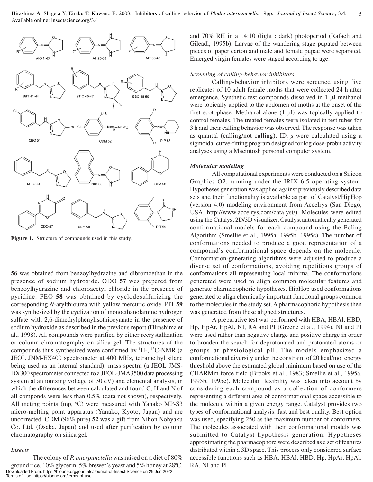

**Figure 1.** Structure of compounds used in this study.

**56** was obtained from benzoylhydrazine and dibromoethan in the presence of sodium hydroxide. ODO **57** was prepared from benzoylhydrazine and chloroacetyl chloride in the presence of pyridine. PEO **58** was obtained by cyclodesulfurizing the corresponding *N*-arylthiourea with yellow mercuric oxide. PIT **59** was synthesized by the cyclization of monoethanolamine hydrogen sulfate with 2,6-dimethylphenylisothiocyanate in the presence of sodium hydroxide as described in the previous report (Hirashima et al., 1998). All compounds were purified by either recrystallization or column chromatography on silica gel. The structures of the compounds thus synthesized were confirmed by  $H$ -,  $^{13}$ C-NMR (a JEOL JNM-EX400 spectrometer at 400 MHz, tetramethyl silane being used as an internal standard), mass spectra (a JEOL JMS-DX300 spectrometer connected to a JEOL-JMA3500 data processing system at an ionizing voltage of 30 eV) and elemental analysis, in which the differences between calculated and found C, H and N of all componds were less than 0.5% (data not shown), respectively. All meting points (mp, °C) were measured with Yanako MP-S3 micro-melting point apparatus (Yanako, Kyoto, Japan) and are uncorrected. CDM (96% pure) **52** was a gift from Nihon Nohyaku Co. Ltd. (Osaka, Japan) and used after purification by column chromatography on silica gel.

#### *Insects*

The colony of *P. interpunctella* was raised on a diet of 80% ground rice,  $10\%$  glycerin, 5% brewer's yeast and 5% honey at 28°C, Downloaded From: https://bioone.org/journals/Journal-of-Insect-Science on 29 Jun 2022 Terms of Use: https://bioone.org/terms-of-use

and 70% RH in a 14:10 (light : dark) photoperiod (Rafaeli and Gileadi, 1995b). Larvae of the wandering stage pupated between pieces of paper carton and male and female pupae were separated. Emerged virgin females were staged according to age.

#### *Screening of calling-behavior inhibitors*

Calling**-**behavior inhibitors were screened using five replicates of 10 adult female moths that were collected 24 h after emergence. Synthetic test compounds dissolved in 1 µl methanol were topically applied to the abdomen of moths at the onset of the first scotophase. Methanol alone  $(1 \mu l)$  was topically applied to control females. The treated females were isolated in test tubes for 3 h and their calling behavior was observed. The response was taken as quantal (calling/not calling).  $ID_{50}$ s were calculated using a sigmoidal curve-fitting program designed for log dose-probit activity analyses using a Macintosh personal computer system.

#### *Molecular modeling*

All computational experiments were conducted on a Silicon Graphics O2, running under the IRIX 6.5 operating system. Hypotheses generation was applied against previously described data sets and their functionality is available as part of Catalyst/HipHop (version 4.0) modeling environment from Accelrys (San Diego, USA, http://www.accelrys.com/catalyst/). Molecules were edited using the Catalyst 2D/3D visualizer. Catalyst automatically generated conformational models for each compound using the Poling Algorithm (Smellie et al., 1995a, 1995b, 1995c). The number of conformations needed to produce a good representation of a compound's conformational space depends on the molecule. Conformation-generating algorithms were adjusted to produce a diverse set of conformations, avoiding repetitious groups of conformations all representing local minima. The conformations generated were used to align common molecular features and generate pharmacophoric hypotheses. HipHop used conformations generated to align chemically important functional groups common to the molecules in the study set. A pharmacophoric hypothesis then was generated from these aligned structures.

A preparative test was performed with HBA, HBAl, HBD, Hp, HpAr, HpAl, NI, RA and PI (Greene et al., 1994). NI and PI were used rather than negative charge and positive charge in order to broaden the search for deprotonated and protonated atoms or groups at physiological pH. The models emphasized a conformational diversity under the constraint of 20 kcal/mol energy threshold above the estimated global minimum based on use of the CHARMm force field (Brooks et al., 1983; Smellie et al., 1995a, 1995b, 1995c). Molecular flexibility was taken into account by considering each compound as a collection of conformers representing a different area of conformational space accessible to the molecule within a given energy range. Catalyst provides two types of conformational analysis: fast and best quality. Best option was used, specifying 250 as the maximum number of conformers. The molecules associated with their conformational models was submitted to Catalyst hypothesis generation. Hypotheses approximating the pharmacophore were described as a set of features distributed within a 3D space. This process only considered surface accessible functions such as HBA, HBAl, HBD, Hp, HpAr, HpAl, RA, NI and PI.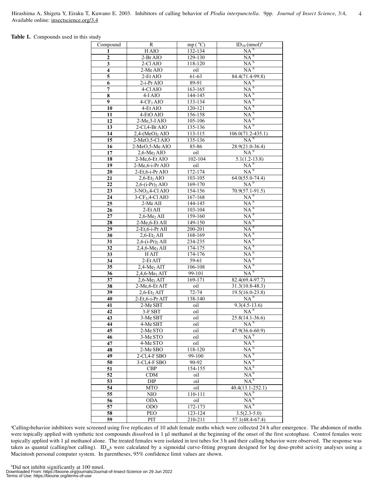Hirashima A, Shigeta Y, Eiraku T, Kuwano E. 2003. Inhibitors of calling behavior of *Plodia interpunctella*. 9pp. *Journal of Insect Science*, 3:4, 4 Available online: insectscience.org/3.4

**Table 1.** Compounds used in this study

| Compound                | ${\bf R}$                      | $mp(^{\circ}C)$ | $ID_{50}$ (nmol) <sup>a</sup>      |
|-------------------------|--------------------------------|-----------------|------------------------------------|
| 1                       | H AIO                          | 132-134         | $NA^b$                             |
| $\boldsymbol{2}$        | 2-Br AIO                       | 129-130         | $NA^b$                             |
| 3                       | 2-ClAIO                        | 118-120         | $\overline{NA}^b$                  |
|                         |                                |                 |                                    |
| $\overline{\mathbf{4}}$ | 2-Me AIO                       | oil             | $\overline{NA}^b$                  |
| 5                       | 2-Et AIO                       | $61-63$         | 84.4(71.4-99.8)                    |
| 6                       | 2-i-Pr AIO                     | 89-91           | $N\overline{A}^b$                  |
| $\overline{7}$          | $\overline{4}$ -Cl AIO         | 163-165         | $N\overline{A}^b$                  |
| 8                       | 4-I AIO                        | 144-145         | $NA^b$                             |
| 9                       | $4-CF3 AIO$                    | 133-134         | $\overline{NA}^b$                  |
|                         |                                | 120-121         | $NA^b$                             |
| 10                      | 4-Et AIO                       |                 |                                    |
| 11                      | 4-EtO AIO                      | $156 - 158$     | $\overline{NA}^b$                  |
| 12                      | $2-Me.3-I AIO$                 | 105-106         | $NA^b$                             |
| 13                      | 2-Cl, 4-Br AIO                 | 135-136         | $N A^b$                            |
| 14                      | $2,4-(MeO)2 AIO$               | 113-115         | $106.0(71.2-435.1)$                |
| 15                      | 2-MeO,5-ClAIO                  | 135-136         | $NA^b$                             |
| 16                      | 2-MeO,5-Me AIO                 | 85-86           | 28.9(21.0-36.4)                    |
| 17                      |                                | oil             | $NA^b$                             |
|                         | $2,6$ -Me <sub>2</sub> AIO     |                 |                                    |
| 18                      | 2-Me, 6-Et AIO                 | 102-104         | $5.1(1.2-13.8)$                    |
| 19                      | 2-Me, 6-i-Pr AIO               | oil             | $NA^b$                             |
| 20                      | 2-Et, 6-i-Pr AIO               | 172-174         | $NA^b$                             |
| 21                      | $2,6$ -Et <sub>2</sub> AIO     | 103-105         | $64.0(55.0-74.4)$                  |
| 22                      | $2,6-(i-Pr)2 AIO$              | 169-170         | $NA^b$                             |
| 23                      | $3-NO2,4-Cl AIO$               | 154-156         | 70.9(57.1-91.5)                    |
| 24                      | $3$ -CF <sub>3</sub> , 4-ClAIO | 167-168         | $NA^b$                             |
| 25                      | 2-Me AII                       | 144-145         | $\overline{NA}^b$                  |
|                         |                                |                 | $\overline{NA}^b$                  |
| 26                      | 2-Et AII                       | 103-104         |                                    |
| 27                      | $2,6$ -Me <sub>2</sub> AII     | 159-160         | $NA^b$                             |
| 28                      | 2-Me, 6-Et AII                 | 149-150         | $\overline{NA}^b$                  |
| 29                      | 2-Et, 6-i-Pr AII               | 200-201         | $\overline{NA}^b$                  |
| 30                      | $2,6$ -Et <sub>2</sub> AII     | 168-169         | $\overline{NA}^b$                  |
| 31                      | $2,6-(i-Pr)_2$ AII             | 234-235         | $NA^b$                             |
| 32                      | $2,4,6$ -Me <sub>3</sub> AII   | 174-175         | $NA^b$                             |
| 33                      | H AIT                          | 174-176         | $\overline{NA}^b$                  |
| 34                      | 2-Et AIT                       | 59-61           | $\overline{NA}^b$                  |
| 35                      | $2,4-Me2 AIT$                  | 106-108         | $NA^b$                             |
|                         |                                |                 | $NA^b$                             |
| 36                      | $2,4,6$ -Me <sub>3</sub> AIT   | 99-101          |                                    |
| 37                      | $2,6$ -Me <sub>2</sub> AIT     | 169-171         | 82.4(69.4-97.7)                    |
| 38                      | 2-Me, 6-Et AIT                 | oil             | 31.3(10.8-48.3)                    |
| 39                      | $2,6$ -Et <sub>2</sub> AIT     | 72-74           | $19.5(16.0-23.8)$                  |
| 40                      | 2-Et, 6-i-Pr AIT               | 138-140         | $NA^b$                             |
| 41                      | 2-Me SBT                       | oil             | $9.3(4.5-13.6)$                    |
| 42                      | 3-F SBT                        | oil             | $NA^b$                             |
| 43                      | 3-Me SBT                       | oil             | $25.8(14.1 - 36.6)$                |
| 44                      | 4-Me SBT                       | oil             | $NA^b$                             |
| 45                      | 2-Me STO                       | oil             | 47.9(36.6-60.9)                    |
|                         | 3-Me STO                       | oil             | $NA^b$                             |
| 46                      |                                |                 | $NA^b$                             |
| 47                      | 4-Me STO                       | oil             |                                    |
| 48                      | 2-Me SBO                       | 118-120         | $NA^b$                             |
| 49                      | 2-Cl, 4-F SBO                  | 99-100          | $NA^b$                             |
| 50                      | 3-Cl, 4-F SBO                  | 90-92           | $NA^b$                             |
| 51                      | CBP                            | 154-155         | $NA^b$                             |
| 52                      | <b>CDM</b>                     | oil             | $\underline{\text{NA}}^{\text{b}}$ |
| 53                      | DIP                            | oil             | $NA^b$                             |
| 54                      | <b>MTO</b>                     | oil             | $40.4(13.1 - 252.1)$               |
| 55                      | <b>NIO</b>                     | 110-111         | $N\overline{A^b}$                  |
| 56                      | <b>ODA</b>                     | oil             | $\overline{NA}^b$                  |
|                         |                                |                 | $NA^b$                             |
| 57                      | <b>ODO</b>                     | 172-173         |                                    |
| 58                      | PEO                            | 123-124         | $3.5(2.3-5.0)$                     |
| 59                      | PIT                            | 210-211         | $57.1(48.4-67.4)$                  |

a Calling**-**behavior inhibitors were screened using five replicates of 10 adult female moths which were collected 24 h after emergence. The abdomen of moths were topically applied with synthetic test compounds dissolved in 1 µl methanol at the beginning of the onset of the first scotophase. Control females were topically applied with 1 µl methanol alone. The treated females were isolated in test tubes for 3 h and their calling behavior were observed. The response was taken as quantal (calling/not calling). ID<sub>50</sub>s were calculated by a sigmoidal curve-fitting program designed for log dose-probit activity analyses using a Macintosh personal computer system. In parentheses, 95% confidence limit values are shown.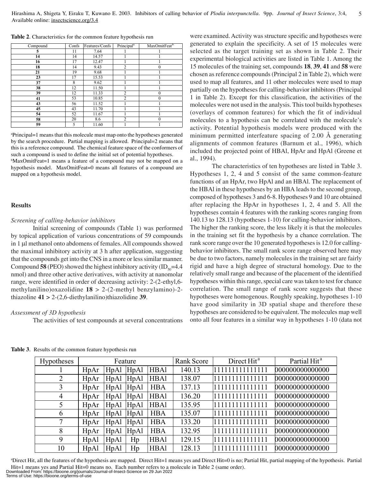| Compound | Confs | Features/Confs | Principal <sup>a</sup> | MaxOmitFeat <sup>b</sup> |
|----------|-------|----------------|------------------------|--------------------------|
| 5        | 11    | 7.64           |                        |                          |
| 14       | 14    | 14.57          |                        |                          |
| 16       | 17    | 12.47          |                        |                          |
| 18       | 14    | 9.43           | $\overline{2}$         | 0                        |
| 21       | 19    | 9.68           |                        |                          |
| 23       | 17    | 15.53          |                        |                          |
| 37       | 8     | 9.62           |                        |                          |
| 38       | 12    | 11.50          |                        |                          |
| 39       | 12    | 11.33          | $\overline{c}$         | 0                        |
| 41       | 53    | 10.85          | $\overline{c}$         | 0                        |
| 43       | 56    | 11.52          |                        |                          |
| 45       | 43    | 11.70          |                        |                          |
| 54       | 52    | 11.67          |                        |                          |
| 58       | 20    | 8.6            | $\mathfrak{D}$         |                          |
| 59       | 5     | 11.60          |                        |                          |

**Table 2**. Characteristics for the common feature hypothesis run

a Principal=1 means that this molecule must map onto the hypotheses generated by the search procedure. Partial mapping is allowed. Principal=2 means that this is a reference compound. The chemical feature space of the conformers of such a compound is used to define the initial set of potential hypotheses.

b MaxOmitFeat=1 means a feature of a compound may not be mapped on a hypothesis model. MaxOmitFeat=0 means all features of a compound are mapped on a hypothesis model.

#### **Results**

#### *Screening of calling-behavior inhibitors*

Initial screening of compounds (Table 1) was performed by topical application of various concentrations of 59 compounds in 1 µl methanol onto abdomens of females. All compounds showed the maximal inhibitory activity at 3 h after application, suggesting that the compounds get into the CNS in a more or less similar manner. Compound 58 (PEO) showed the highest inhibitory activity  $(ID_{50} = 4.4)$ nmol) and three other active derivatives, with activity at nanomolar range, were identified in order of decreasing activity: 2-(2-ethyl,6 methylanilino)oxazolidine **18** > 2-(2-methyl benzylamino)-2 thiazoline **41 >** 2-(2,6-diethylanilino)thiazolidine **39**.

#### *Assessment of 3D hypothesis*

The activities of test compounds at several concentrations

were examined. Activity was structure specific and hypotheses were generated to explain the specificity. A set of 15 molecules were selected as the target training set as shown in Table 2. Their experimental biological activities are listed in Table 1. Among the 15 molecules of the training set, compounds **18**, **39**, **41** and **58** were chosen as reference compounds (Principal 2 in Table 2), which were used to map all features, and 11 other molecules were used to map partially on the hypotheses for calling-behavior inhibitors (Principal 1 in Table 2). Except for this classification, the activities of the molecules were not used in the analysis. This tool builds hypotheses (overlays of common features) for which the fit of individual molecules to a hypothesis can be correlated with the molecule's activity. Potential hypothesis models were produced with the minimum permitted interfeature spacing of 2.00 Å generating alignments of common features (Barnum et al., 1996), which included the projected point of HBAl, HpAr and HpAl (Greene et al., 1994).

The characteristics of ten hypotheses are listed in Table 3. Hypotheses 1, 2, 4 and 5 consist of the same common-feature functions of an HpAr, two HpAl and an HBAl. The replacement of the HBAl in these hypotheses by an HBA leads to the second group, composed of hypotheses 3 and 6-8. Hypotheses 9 and 10 are obtained after replacing the HpAr in hypotheses 1, 2, 4 and 5. All the hypotheses contain 4 features with the ranking scores ranging from 140.13 to 128.13 (hypotheses 1-10) for calling-behavior inhibitors. The higher the ranking score, the less likely it is that the molecules in the training set fit the hypothesis by a chance correlation. The rank score range over the 10 generated hypotheses is 12.0 for callingbehavior inhibitors. The small rank score range observed here may be due to two factors, namely molecules in the training set are fairly rigid and have a high degree of structural homology. Due to the relatively small range and because of the placement of the identified hypotheses within this range, special care was taken to test for chance correlation. The small range of rank score suggests that these hypotheses were homogenous. Roughly speaking, hypotheses 1-10 have good similarity in 3D spatial shape and therefore these hypotheses are considered to be equivalent. The molecules map well onto all four features in a similar way in hypotheses 1-10 (data not

| <b>Hypotheses</b> | Feature |      |      |             | Rank Score | Direct Hit <sup>a</sup> | Partial Hit <sup>a</sup> |
|-------------------|---------|------|------|-------------|------------|-------------------------|--------------------------|
|                   | HpAr    | HpAl | HpAl | <b>HBAl</b> | 140.13     | 11111111111111          | 000000000000000          |
| 2                 | HpAr    | HpAl | HpAl | <b>HBAl</b> | 138.07     | 111111111111111         | 000000000000000          |
|                   | HpAr    | HpAl | HpAl | <b>HBA</b>  | 137.13     | 111111111111111         | 000000000000000          |
| $\overline{4}$    | HpAr    | HpAl | HpAl | <b>HBAl</b> | 136.20     | 111111111111111         | 000000000000000          |
|                   | HpAr    | HpAl | HpAl | <b>HBAl</b> | 135.95     | 111111111111111         | 000000000000000          |
| 6                 | HpAr    | HpAl | HpAl | <b>HBA</b>  | 135.07     | 111111111111111         | 000000000000000          |
|                   | HpAr    | HpAl | HpAl | <b>HBA</b>  | 133.20     | 11111111111111          | 000000000000000          |
| 8                 | HpAr    | HpAl | HpAl | <b>HBA</b>  | 132.95     | 111111111111111         | 000000000000000          |
| 9                 | HpAl    | HpAl | Hp   | <b>HBA1</b> | 129.15     | 11111                   | 000000000000000          |
| 10                | HpAl    | HpAl | Hp   | <b>HBAl</b> | 128.13     |                         | 000000000000000          |

**Table 3**.Results of the common feature hypothesis run

a Direct Hit, all the features of the hypothesis are mapped. Direct Hit=1 means yes and Direct Hit=0 is no; Partial Hit, partial mapping of the hypothesis. Partial Hit=1 means yes and Partial Hit=0 means no. Each number refers to a molecule in Table 2 (same order). Downloaded From: https://bioone.org/journals/Journal-of-Insect-Science on 29 Jun 2022 Terms of Use: https://bioone.org/terms-of-use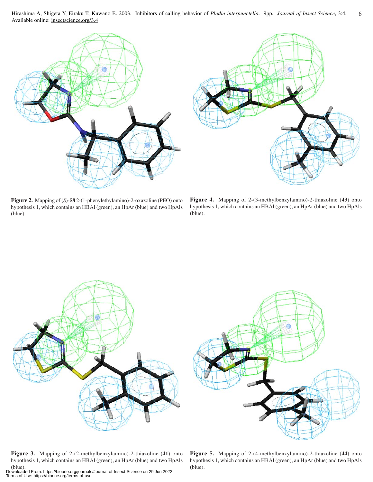Hirashima A, Shigeta Y, Eiraku T, Kuwano E. 2003. Inhibitors of calling behavior of *Plodia interpunctella*. 9pp. *Journal of Insect Science*, 3:4, 6 Available online: insectscience.org/3.4



**Figure 2.** Mapping of (*S*)-**58** 2-(1-phenylethylamino)-2-oxazoline (PEO) onto hypothesis 1, which contains an HBAl (green), an HpAr (blue) and two HpAls (blue).

**Figure 4.** Mapping of 2-(3-methylbenzylamino)-2-thiazoline (**43**) onto hypothesis 1, which contains an HBAl (green), an HpAr (blue) and two HpAls (blue).



**Figure 3.** Mapping of 2-(2-methylbenzylamino)-2-thiazoline (**41**) onto hypothesis 1, which contains an HBAl (green), an HpAr (blue) and two HpAls (blue).

Downloaded From: https://bioone.org/journals/Journal-of-Insect-Science on 29 Jun 2022 Terms of Use: https://bioone.org/terms-of-use

**Figure 5.** Mapping of 2-(4-methylbenzylamino)-2-thiazoline (**44**) onto hypothesis 1, which contains an HBAl (green), an HpAr (blue) and two HpAls (blue).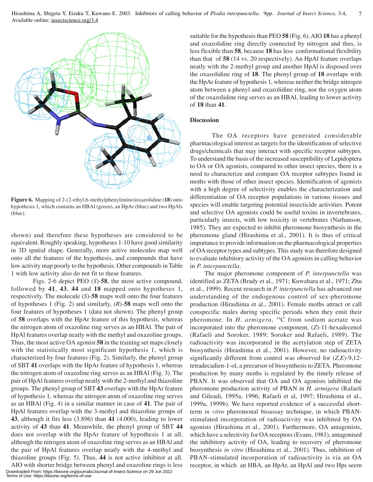

**Figure 6.** Mapping of 2-(2-ethyl,6-methylphenylimino)oxazolidine (**18**) onto hypothesis 1, which contains an HBAl (green), an HpAr (blue) and two HpAls (blue).

shown) and therefore these hypotheses are considered to be equivalent. Roughly speaking, hypotheses 1-10 have good similarity in 3D spatial shape. Generally, more active molecules map well onto all the features of the hypothesis, and compounds that have low activity map poorly to the hypothesis. Other compounds in Table 1 with low activity also do not fit to these features.

Figs. 2-6 depict PEO (*S*)-**58**, the most active compound, followed by **41**, **43**, **44** and **18** mapped onto hypotheses 1, respectively. The molecule (*S*)-**58** maps well onto the four features of hypotheses 1 (Fig. 2) and similarly, (*R*)-**58** maps well onto the four features of hypotheses 1 (data not shown). The phenyl group of **58** overlaps with the HpAr feature of this hypothesis, whereas the nitrogen atom of oxazoline ring serves as an HBAl. The pair of HpAl features overlap neatly with the methyl and oxazoline groups. Thus, the most active OA agonist **58** in the training set maps closely with the statistically most significant hypothesis 1, which is characterized by four features (Fig. 2). Similarly, the phenyl group of SBT **41** overlaps with the HpAr feature of hypothesis 1, whereas the nitrogen atom of oxazoline ring serves as an HBAl (Fig. 3). The pair of HpAl features overlap neatly with the 2-methyl and thiazoline groups. The phenyl group of SBT **43** overlaps with the HpAr feature of hypothesis 1, whereas the nitrogen atom of oxazoline ring serves as an HBAl (Fig. 4) in a similar manner in case of **41**. The pair of HpAl features overlap with the 3-methyl and thiazoline groups of **43**, although it fits less (3.896) than **41** (4.000), leading to lower activity of **43** than **41**. Meanwhile, the phenyl group of SBT **44** does not overlap with the HpAr feature of hypothesis 1 at all, although the nitrogen atom of oxazoline ring serves as an HBAl and the pair of HpAl features overlap neatly with the 4-methyl and thiazoline groups (Fig. 5). Thus, **44** is not active inhibitor at all.

AIO with shorter bridge between phenyl and oxazoline rings is less Downloaded From: https://bioone.org/journals/Journal-of-Insect-Science on 29 Jun 2022 Terms of Use: https://bioone.org/terms-of-use

suitable for the hypothesis than PEO **58** (Fig. 6). AIO **18** has a phenyl and oxazolidine ring directly connected by nitrogen and thus, is less flexible than **58**, because **18** has less conformational flexibility than that of **58** (14 vs. 20 respectively). An HpAl feature overlaps neatly with the 2-methyl group and another HpAl is disposed over the oxazolidine ring of **18**. The phenyl group of **18** overlaps with the HpAr feature of hypothesis 1, whereas neither the bridge nitrogen atom between a phenyl and oxazolidine ring, nor the oxygen atom of the oxazolidine ring serves as an HBAl, leading to lower activity of **18** than **41**.

### **Discussion**

The OA receptors have generated considerable pharmacological interest as targets for the identification of selective drugs/chemicals that may interact with specific receptor subtypes. To understand the basis of the increased susceptibility of Lepidoptera to OA or OA agonists, compared to other insect species, there is a need to characterize and compare OA receptor subtypes found in moths with those of other insect species. Identification of agonists with a high degree of selectivity enables the characterization and differentiation of OA receptor populations in various tissues and species will enable targeting potential insecticide activities. Potent and selective OA agonists could be useful toxins in invertebrates, particularly insects, with low toxicity in vertebrates (Nathanson, 1985). They are expected to inhibit pheromone biosynthesis in the pheromone gland (Hirashima et al., 2001). It is thus of critical importance to provide information on the pharmacological properties of OA receptor types and subtypes. This study was therefore designed to evaluate inhibitory activity of the OA agonists in calling behavior in *P. interpunctella*.

The major pheromone component of *P. interpunctella* was identified as ZETA (Brady et al., 1971; Kuwahara et al., 1971; Zhu et al., 1999). Recent research in *P. interpunctella* has advanced our understanding of the endogenous control of sex-pheromone production (Hirashima et al., 2001). Female moths attract or call conspecific males during specific periods when they emit their pheromone. In *H. armigera*, 14C from sodium acetate was incorporated into the pheromone component, (*Z*)-11-hexadecenol (Rafaeli and Soroker, 1989; Soroker and Rafaeli, 1989). The radioactivity was incorporated in the acetylation step of ZETA biosynthesis (Hirashima et al., 2001). However, no radioactivity significantly different from control was observed for (*Z,E*)-9,12 tetradecadien-1-ol, a precursor of biosynthesis to ZETA. Pheromone production by many moths is regulated by the timely release of PBAN. It was observed that OA and OA agonists inhibited the pheromone production activity of PBAN in *H. armigera* (Rafaeli and Gileadi, 1995a, 1996; Rafaeli et al, 1997; Hirashima et al., 1999a, 1999b). We have reported evidence of a successful shortterm *in vitro* pheromonal bioassay technique, in which PBANstimulated incorporation of radioactivity was inhibited by OA agonists (Hirashima et al., 2001). Furthermore, OA antagonists, which have a selectivity for OA receptors (Evans, 1981), antagonised the inhibitory activity of OA, leading to recovery of pheromone biosynthesis *in vitro* (Hirashima et al., 2001). Thus, inhibition of PBAN-stimulated incorporation of radioactivity is via an OA receptor, in which an HBA, an HpAr, an HpAl and two Hps seem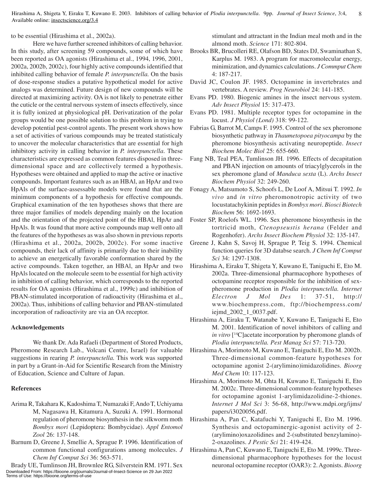Hirashima A, Shigeta Y, Eiraku T, Kuwano E. 2003. Inhibitors of calling behavior of *Plodia interpunctella*. 9pp. *Journal of Insect Science*, 3:4, 8 Available online: insectscience.org/3.4

to be essential (Hirashima et al., 2002a).

Here we have further screened inhibitors of calling behavior. In this study, after screening 59 compounds, some of which have been reported as OA agonists (Hirashima et al., 1994, 1996, 2001, 2002a, 2002b, 2002c), four highly active compounds identified that inhibited calling behavior of female *P. interpunctella.* On the basis of dose-response studies a putative hypothetical model for active analogs was determined. Future design of new compounds will be directed at maximizing activity. OA is not likely to penetrate either the cuticle or the central nervous system of insects effectively, since it is fully ionized at physiological pH. Derivatization of the polar groups would be one possible solution to this problem in trying to develop potential pest-control agents. The present work shows how a set of activities of various compounds may be treated statisticaly to uncover the molecular characteristics that are essential for high inhibitory activity in calling behavior in *P. interpunctella*. These characteristics are expressed as common features disposed in threedimensional space and are collectively termed a hypothesis. Hypotheses were obtained and applied to map the active or inactive compounds. Important features such as an HBAl, an HpAr and two HpAls of the surface-assessable models were found that are the minimum components of a hypothesis for effective compounds. Graphical examination of the ten hypotheses shows that there are three major families of models depending mainly on the location and the orientation of the projected point of the HBAl, HpAr and HpAls. It was found that more active compounds map well onto all the features of the hypotheses as was also shown in previous reports (Hirashima et al., 2002a, 2002b, 2002c). For some inactive compounds, their lack of affinity is primarily due to their inability to achieve an energetically favorable conformation shared by the active compounds. Taken together, an HBAl, an HpAr and two HpAls located on the molecule seem to be essential for high activity in inhibition of calling behavior, which corresponds to the reported results for OA agonists (Hirashima et al., 1999c) and inhibition of PBAN-stimulated incorporation of radioactivity (Hirashima et al., 2002a). Thus, inhibitions of calling behavior and PBAN-stimulated incorporation of radioactivity are via an OA receptor.

#### **Acknowledgements**

We thank Dr. Ada Rafaeli (Department of Stored Products, Pheromone Research Lab., Volcani Centre, Israel) for valuable suggestions in rearing *P. interpunctella.* This work was supported in part by a Grant-in-Aid for Scientific Research from the Ministry of Education, Science and Culture of Japan.

#### **References**

- Arima R, Takahara K, Kadoshima T, Numazaki F, Ando T, Uchiyama M, Nagasawa H, Kitamura A, Suzuki A. 1991. Hormonal regulation of pheromone biosynthesis in the silkworm moth *Bombyx mori* (Lepidoptera: Bombycidae). *Appl Entomol Zool* 26: 137-148.
- Barnum D, Greene J, Smellie A, Sprague P. 1996. Identification of common functional configurations among molecules. *J Chem Inf Comput Sci* 36: 563-571.

Brady UE, Tumlinson JH, Brownlee RG, Silverstein RM. 1971. Sex Downloaded From: https://bioone.org/journals/Journal-of-Insect-Science on 29 Jun 2022 Terms of Use: https://bioone.org/terms-of-use

stimulant and attractant in the Indian meal moth and in the almond moth. *Science* 171: 802-804.

- Brooks BR, Brucolleri RE, Olafson BD, States DJ, Swaminathan S, Karplus M. 1983. A program for macromolecular energy, minimization, and dynamics calculations. *J Commput Chem* 4: 187-217.
- David JC, Coulon JF. 1985. Octopamine in invertebrates and vertebrates. A review. *Prog Neurobiol* 24: 141-185.
- Evans PD. 1980. Biogenic amines in the insect nervous system. *Adv Insect Physiol* 15: 317-473.
- Evans PD. 1981. Multiple receptor types for octopamine in the locust. *J Physiol (Lond)* 318: 99-122.
- Fabrias G, Barrot M, Camps F. 1995. Control of the sex pheromone biosynthetic pathway in *Thaumetopoea pityocampa* by the pheromone biosynthesis activating neuropeptide. *Insect Biochem Molec Biol* 25: 655-660.
- Fang NB, Teal PEA, Tumlinson JH. 1996. Effects of decapitation and PBAN injection on amounts of triacylglycerols in the sex pheromone gland of *Manduca sexta* (L). *Archs Insect Biochem Physiol* 32: 249-260.
- Fonagy A, Matsumoto S, Schoofs L, De Loof A, Mitsui T. 1992. *In vivo* and *in vitro* pheromonotropic activity of two locustatachykinin peptides in *Bombyx mori*. *Biosci Biotech Biochem* 56: 1692-1693.
- Foster SP, Roelofs WL. 1996. Sex pheromone biosynthesis in the tortricid moth, *Ctenopseustis herana* (Felder and Rogenhofer). *Archs Insect Biochem Physiol* 32: 135-147.
- Greene J, Kahn S, Savoj H, Sprague P, Teig S. 1994. Chemical function queries for 3D databse search. *J Chem Inf Comput Sci* 34: 1297-1308.
- Hirashima A, Eiraku T, Shigeta Y, Kuwano E, Taniguchi E, Eto M. 2002a. Three-dimensional pharmacophore hypotheses of octopamine receptor responsible for the inhibition of sexpheromone production in *Plodia interpunctella. Internet Electron J Mol Des* 1: 37-51, http:// www.biochempress.com, ftp://biochempress.com/ iejmd\_2002\_1\_0037.pdf.
- Hirashima A, Eiraku T, Watanabe Y, Kuwano E, Taniguchi E, Eto M. 2001. Identification of novel inhibitors of calling and *in vitro* [<sup>14</sup>C] acetate incorporation by pheromone glands of *Plodia interpunctella. Pest Manag Sci* 57: 713-720.
- Hirashima A, Morimoto M, Kuwano E, Taniguchi E, Eto M. 2002b. Three-dimensional common-feature hypotheses for octopamine agonist 2-(arylimino)imidazolidines. *Bioorg Med Chem* 10: 117-123.
- Hirashima A, Morimoto M, Ohta H, Kuwano E, Taniguchi E, Eto M. 2002c. Three-dimensional common-feature hypotheses for octopamine agonist 1-arylimidazolidine-2-thiones. *Internet J Mol Sci* 3: 56-68, http://www.mdpi.org/ijms/ papers/i3020056.pdf.
- Hirashima A, Pan C, Katafuchi Y, Taniguchi E, Eto M. 1996. Synthesis and octopaminergic-agonist activity of 2- (arylimino)oxazolidines and 2-(substituted benzylamino)- 2-oxazolines. *J Pestic Sci* 21: 419-424.
- Hirashima A, Pan C, Kuwano E, Taniguchi E, Eto M. 1999c. Threedimensional pharmacophore hypotheses for the locust neuronal octopamine receptor (OAR3): 2. Agonists. *Bioorg*